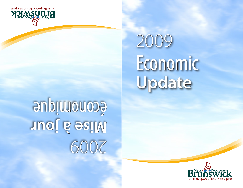# 2009 Economic **Update**

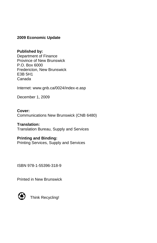## **2009 Economic Update**

#### **Published by:**

Department of Finance Province of New Brunswick P.O. Box 6000 Fredericton, New Brunswick E3B 5H1 Canada

Internet: www.gnb.ca/0024/index-e.asp

December 1, 2009

**Cover:** Communications New Brunswick (CNB 6480)

#### **Translation:**

Translation Bureau, Supply and Services

### **Printing and Binding:**

Printing Services, Supply and Services

ISBN 978-1-55396-318-9

Printed in New Brunswick



Think Recycling!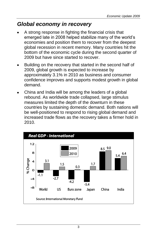# *Global economy in recovery*

- A strong response in fighting the financial crisis that emerged late in 2008 helped stabilize many of the world's economies and position them to recover from the deepest global recession in recent memory. Many countries hit the bottom of the economic cycle during the second quarter of 2009 but have since started to recover.
- Building on the recovery that started in the second half of 2009, global growth is expected to increase by approximately 3.1% in 2010 as business and consumer confidence improves and supports modest growth in global demand.
- China and India will be among the leaders of a global rebound. As worldwide trade collapsed, large stimulus measures limited the depth of the downturn in these countries by sustaining domestic demand. Both nations will be well-positioned to respond to rising global demand and increased trade flows as the recovery takes a firmer hold in 2010.

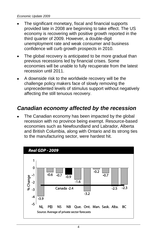- The significant monetary, fiscal and financial supports provided late in 2008 are beginning to take effect. The US economy is recovering with positive growth reported in the third quarter of 2009. However, a double-digit unemployment rate and weak consumer and business confidence will curb growth prospects in 2010.
- The global recovery is anticipated to be more gradual than previous recessions led by financial crises. Some economies will be unable to fully recuperate from the latest recession until 2011.
- A downside risk to the worldwide recovery will be the challenge policy makers face of slowly removing the unprecedented levels of stimulus support without negatively affecting the still tenuous recovery.

## *Canadian economy affected by the recession*

The Canadian economy has been impacted by the global recession with no province being exempt. Resource-based economies such as Newfoundland and Labrador, Alberta and British Columbia, along with Ontario and its strong ties to the manufacturing sector, were hardest hit.

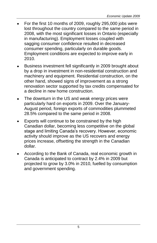- For the first 10 months of 2009, roughly 295,000 jobs were lost throughout the country compared to the same period in 2008, with the most significant losses in Ontario (especially in manufacturing). Employment losses coupled with sagging consumer confidence resulted in decreased consumer spending, particularly on durable goods. Employment conditions are expected to improve early in 2010.
- Business investment fell significantly in 2009 brought about by a drop in investment in non-residential construction and machinery and equipment. Residential construction, on the other hand, showed signs of improvement as a strong renovation sector supported by tax credits compensated for a decline in new home construction.
- The downturn in the US and weak energy prices were particularly hard on exports in 2009. Over the January-August period, foreign exports of commodities plummeted 28.5% compared to the same period in 2008.
- Exports will continue to be constrained by the high Canadian dollar, becoming less competitive on the global stage and limiting Canada's recovery. However, economic activity should improve as the US recovers and energy prices increase, offsetting the strength in the Canadian dollar.
- According to the Bank of Canada, real economic growth in Canada is anticipated to contract by 2.4% in 2009 but projected to grow by 3.0% in 2010, fuelled by consumption and government spending.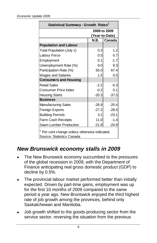| Statistical Summary - Growth Rates <sup>1</sup>                                                                                                                                                                                                                                                                            |                |              |  |  |
|----------------------------------------------------------------------------------------------------------------------------------------------------------------------------------------------------------------------------------------------------------------------------------------------------------------------------|----------------|--------------|--|--|
|                                                                                                                                                                                                                                                                                                                            |                | 2008 to 2009 |  |  |
|                                                                                                                                                                                                                                                                                                                            | (Year-to-Date) |              |  |  |
|                                                                                                                                                                                                                                                                                                                            | N.B.           | Canada       |  |  |
| <b>Population and Labour</b>                                                                                                                                                                                                                                                                                               |                |              |  |  |
| Total Population (July 1)                                                                                                                                                                                                                                                                                                  | 0.3            | 1.2          |  |  |
| Labour Force                                                                                                                                                                                                                                                                                                               | 0.5            | 0.7          |  |  |
| Employment                                                                                                                                                                                                                                                                                                                 | 0.1            | $-1.7$       |  |  |
| Unemployment Rate (%)                                                                                                                                                                                                                                                                                                      | 9.0            | 8.3          |  |  |
| Participation Rate (%)                                                                                                                                                                                                                                                                                                     | 65.0           | 67.4         |  |  |
| <b>Wages and Salaries</b>                                                                                                                                                                                                                                                                                                  | 1.5            | 0.5          |  |  |
| <b>Consumers and Housing</b>                                                                                                                                                                                                                                                                                               |                |              |  |  |
| Retail Sales                                                                                                                                                                                                                                                                                                               | $-2.2$         | $-5.3$       |  |  |
| Consumer Price Index                                                                                                                                                                                                                                                                                                       | $-0.2$         | 0.1          |  |  |
| <b>Housing Starts</b>                                                                                                                                                                                                                                                                                                      | $-20.3$        | $-37.5$      |  |  |
| <b>Business</b>                                                                                                                                                                                                                                                                                                            |                |              |  |  |
| Manufacturing Sales                                                                                                                                                                                                                                                                                                        | $-26.9$        | $-20.4$      |  |  |
| Foreign Exports                                                                                                                                                                                                                                                                                                            | $-27.2$        | $-28.5$      |  |  |
| <b>Building Permits</b>                                                                                                                                                                                                                                                                                                    | 3.1            | $-23.1$      |  |  |
| Farm Cash Receipts                                                                                                                                                                                                                                                                                                         | 11.0           | $-1.4$       |  |  |
| Sawn Lumber Production                                                                                                                                                                                                                                                                                                     | $-21.9$        | $-24.9$      |  |  |
| <sup>1</sup> Per cent change unless otherwise indicated.<br>Source: Statistics Canada.                                                                                                                                                                                                                                     |                |              |  |  |
| w Brunswick economy stalls in 2009<br>The New Brunswick economy succumbed to the pressui<br>of the global recession in 2009, with the Department of<br>Finance anticipating real gross domestic product (GDP)                                                                                                              |                |              |  |  |
| decline by 0.5%.                                                                                                                                                                                                                                                                                                           |                |              |  |  |
| The provincial labour market performed better than initia<br>expected. Driven by part-time gains, employment was u<br>for the first 10 months of 2009 compared to the same<br>period a year ago. New Brunswick enjoyed the third high<br>rate of job growth among the provinces, behind only<br>Saskatchewan and Manitoba. |                |              |  |  |
| Job growth shifted to the goods-producing sector from th<br>service sector, reversing the situation from the previous                                                                                                                                                                                                      |                |              |  |  |

## *New Brunswick economy stalls in 2009*

- The New Brunswick economy succumbed to the pressures of the global recession in 2009, with the Department of Finance anticipating real gross domestic product (GDP) to decline by 0.5%.
- The provincial labour market performed better than initially expected. Driven by part-time gains, employment was up for the first 10 months of 2009 compared to the same period a year ago. New Brunswick enjoyed the third highest rate of job growth among the provinces, behind only Saskatchewan and Manitoba.
- Job growth shifted to the goods-producing sector from the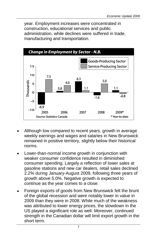year. Employment increases were concentrated in construction, educational services and public administration, while declines were suffered in trade, manufacturing and transportation.



- Although low compared to recent years, growth in average weekly earnings and wages and salaries in New Brunswick remained in positive territory, slightly below their historical norms.
- Lower-than-normal income growth in conjunction with weaker consumer confidence resulted in diminished consumer spending. Largely a reflection of lower sales at gasoline stations and new car dealers, retail sales declined 2.2% during January-August 2009, following three years of growth above 5.0%. Negative growth is expected to continue as the year comes to a close.
- Foreign exports of goods from New Brunswick felt the brunt  $\bullet$ of the global recession and were notably lower in value in 2009 than they were in 2008. While much of the weakness was attributed to lower energy prices, the slowdown in the US played a significant role as well. Moreover, continued strength in the Canadian dollar will limit export growth in the short term.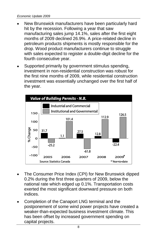- New Brunswick manufacturers have been particularly hard hit by the recession. Following a year that saw manufacturing sales jump 14.1%, sales after the first eight months of 2009 declined 26.9%. A price-related decline in petroleum products shipments is mostly responsible for the drop. Wood product manufacturers continue to struggle with sales expected to register a double-digit decline for the fourth consecutive year.
- Supported primarily by government stimulus spending, investment in non-residential construction was robust for the first nine months of 2009, while residential construction investment was essentially unchanged over the first half of the year.



- The Consumer Price Index (CPI) for New Brunswick dipped 0.2% during the first three quarters of 2009, below the national rate which edged up 0.1%. Transportation costs exerted the most significant downward pressure on both indices.
- Completion of the Canaport LNG terminal and the postponement of some wind power projects have created a weaker-than-expected business investment climate. This has been offset by increased government spending on capital projects.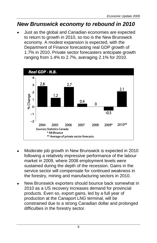## *New Brunswick economy to rebound in 2010*

Just as the global and Canadian economies are expected to return to growth in 2010, so too is the New Brunswick economy. A modest expansion is expected, with the Department of Finance forecasting real GDP growth of 1.7% in 2010. Private sector forecasters anticipate growth ranging from 1.4% to 2.7%, averaging 2.1% for 2010.



- Moderate job growth in New Brunswick is expected in 2010 following a relatively impressive performance of the labour market in 2009, where 2008 employment levels were sustained during the depth of the recession. Gains in the service sector will compensate for continued weakness in the forestry, mining and manufacturing sectors in 2010.
- New Brunswick exporters should bounce back somewhat in 2010 as a US recovery increases demand for provincial products. Even so, export gains, led by a full year of production at the Canaport LNG terminal, will be constrained due to a strong Canadian dollar and prolonged difficulties in the forestry sector.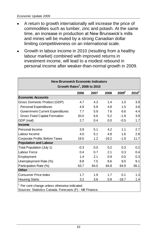- A return to growth internationally will increase the price of commodities such as lumber, zinc and potash. At the same time, an increase in production at New Brunswick's mills and mines will be muted by a strong Canadian dollar limiting competitiveness on an international scale.
- Growth in labour income in 2010 (resulting from a healthy labour market) combined with improved returns in investment income, will lead to a modest rebound in personal income after weaker-than-normal growth in 2009.

| <b>New Brunswick Economic Indicators</b><br>Growth Rates <sup>1</sup> , 2006 to 2010                                |        |      |         |                   |                     |  |  |  |  |
|---------------------------------------------------------------------------------------------------------------------|--------|------|---------|-------------------|---------------------|--|--|--|--|
|                                                                                                                     | 2006   | 2007 | 2008    | 2009 <sup>F</sup> | $2010$ <sup>F</sup> |  |  |  |  |
| <b>Economic Accounts</b>                                                                                            |        |      |         |                   |                     |  |  |  |  |
| Gross Domestic Product (GDP)                                                                                        | 4.7    | 4.3  | 1.4     | 1.0               | 3.9                 |  |  |  |  |
| <b>Personal Expenditures</b>                                                                                        | 4.9    | 5.8  | 4.8     | 1.5               | 3.8                 |  |  |  |  |
| Government Current Expenditures                                                                                     | 7.7    | 5.9  | 7.6     | 6.6               | 4.4                 |  |  |  |  |
| Gross Fixed Capital Formation                                                                                       | 20.0   | 6.6  | 5.2     | $-1.9$            | 3.9                 |  |  |  |  |
| GDP (real)                                                                                                          | 2.7    | 0.4  | 0.0     | $-0.5$            | 1.7                 |  |  |  |  |
| Income                                                                                                              |        |      |         |                   |                     |  |  |  |  |
| Personal Income                                                                                                     | 3.9    | 5.1  | 4.2     | 1.1               | 2.7                 |  |  |  |  |
| Labour Income                                                                                                       | 4.0    | 5.1  | 4.8     | 1.6               | 2.8                 |  |  |  |  |
| Corporate Profits Before Taxes                                                                                      | 19.5   | 1.2  | $-19.2$ | $-1.9$            | 11.7                |  |  |  |  |
| <b>Population and Labour</b>                                                                                        |        |      |         |                   |                     |  |  |  |  |
| Total Population (July 1)                                                                                           | $-0.3$ | 0.0  | 0.2     | 0.3               | 0.2                 |  |  |  |  |
| Labour Force                                                                                                        | 0.4    | 0.7  | 2.1     | 0.3               | 0.4                 |  |  |  |  |
| Employment                                                                                                          | 1.4    | 2.1  | 0.9     | 0.0               | 0.3                 |  |  |  |  |
| Unemployment Rate (%)                                                                                               | 8.8    | 7.5  | 8.6     | 9.0               | 9.1                 |  |  |  |  |
| Participation Rate (%)                                                                                              | 63.7   | 64.0 | 64.8    | 64.9              | 65.1                |  |  |  |  |
| Other                                                                                                               |        |      |         |                   |                     |  |  |  |  |
| Consumer Price Index                                                                                                | 1.7    | 1.9  | 1.7     | 0.1               | 1.3                 |  |  |  |  |
| <b>Housing Starts</b>                                                                                               | 3.2    | 3.8  | 0.8     | $-18.7$           | 1.4                 |  |  |  |  |
| <sup>1</sup> Per cent change unless otherwise indicated.<br>Sources: Statistics Canada. Forecasts (F) - NB Finance. |        |      |         |                   |                     |  |  |  |  |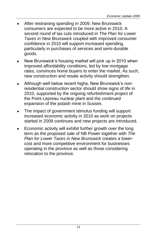- After restraining spending in 2009, New Brunswick consumers are expected to be more active in 2010. A second round of tax cuts introduced in *The Plan for Lower Taxes in New Brunswick* coupled with improved consumer confidence in 2010 will support increased spending, particularly in purchases of services and semi-durable goods.
- New Brunswick's housing market will pick up in 2010 when improved affordability conditions, led by low mortgage rates, convinces home buyers to enter the market. As such, new construction and resale activity should strengthen.
- Although well below recent highs, New Brunswick's nonresidential construction sector should show signs of life in 2010, supported by the ongoing refurbishment project of the Point Lepreau nuclear plant and the continued expansion of the potash mine in Sussex.
- The impact of government stimulus funding will support increased economic activity in 2010 as work on projects started in 2009 continues and new projects are introduced.
- Economic activity will exhibit further growth over the long term as the proposed sale of NB Power together with *The Plan for Lower Taxes in New Brunswick* creates a lowercost and more competitive environment for businesses operating in the province as well as those considering relocation to the province.